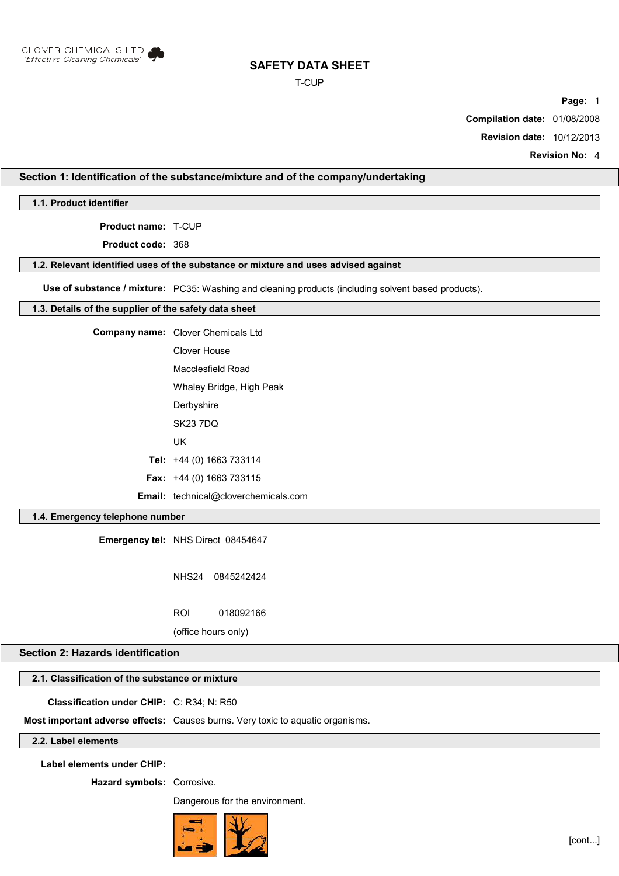

### T-CUP

**Page:** 1

**Compilation date:** 01/08/2008

**Revision date:** 10/12/2013

**Revision No:** 4

## **Section 1: Identification of the substance/mixture and of the company/undertaking**

**1.1. Product identifier**

**Product name:** T-CUP

**Product code:** 368

### **1.2. Relevant identified uses of the substance or mixture and uses advised against**

**Use of substance / mixture:** PC35: Washing and cleaning products (including solvent based products).

## **1.3. Details of the supplier of the safety data sheet**

| <b>Company name:</b> Clover Chemicals Ltd   |
|---------------------------------------------|
| Clover House                                |
| Macclesfield Road                           |
| Whaley Bridge, High Peak                    |
| Derbyshire                                  |
| <b>SK23 7DQ</b>                             |
| UK                                          |
| Tel: +44 (0) 1663 733114                    |
| <b>Fax:</b> $+44$ (0) 1663 733115           |
| <b>Email:</b> technical@cloverchemicals.com |

## **1.4. Emergency telephone number**

**Emergency tel:** NHS Direct 08454647

NHS24 0845242424

ROI 018092166

(office hours only)

## **Section 2: Hazards identification**

## **2.1. Classification of the substance or mixture**

**Classification under CHIP:** C: R34; N: R50

**Most important adverse effects:** Causes burns. Very toxic to aquatic organisms.

### **2.2. Label elements**

**Label elements under CHIP:**

**Hazard symbols:** Corrosive.

Dangerous for the environment.

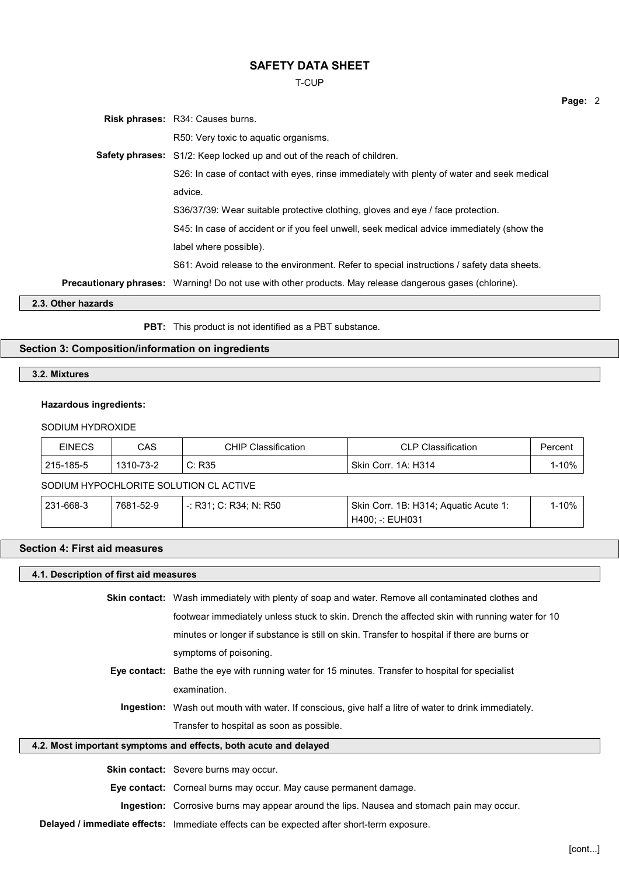T-CUP

|                    | <b>Risk phrases: R34: Causes burns.</b>                                                                        |
|--------------------|----------------------------------------------------------------------------------------------------------------|
|                    | R50: Very toxic to aquatic organisms.                                                                          |
|                    | <b>Safety phrases:</b> S1/2: Keep locked up and out of the reach of children.                                  |
|                    | S26: In case of contact with eyes, rinse immediately with plenty of water and seek medical                     |
|                    | advice.                                                                                                        |
|                    | S36/37/39: Wear suitable protective clothing, gloves and eye / face protection.                                |
|                    | S45: In case of accident or if you feel unwell, seek medical advice immediately (show the                      |
|                    | label where possible).                                                                                         |
|                    | S61: Avoid release to the environment. Refer to special instructions / safety data sheets.                     |
|                    | <b>Precautionary phrases:</b> Warning! Do not use with other products. May release dangerous gases (chlorine). |
| 2.3. Other hazards |                                                                                                                |
|                    |                                                                                                                |

**PBT:** This product is not identified as a PBT substance.

## **Section 3: Composition/information on ingredients**

**3.2. Mixtures**

#### **Hazardous ingredients:**

### SODIUM HYDROXIDE

| EINECS    | CAS                           | <sup>'</sup> Classification<br>CHIP | <sup>'</sup> Classification<br>N D | Percen. |
|-----------|-------------------------------|-------------------------------------|------------------------------------|---------|
| 215-185-5 | ר כיד<br>$1310 - 1.$<br>ے-כ ' | C: R35                              | Skin Corr.<br>1A: H314             | 10%     |

## SODIUM HYPOCHLORITE SOLUTION CL ACTIVE

| 231-668-3 | 7681-52-9 | -: R31: C: R34: N: R50 - | Skin Corr. 1B: H314; Aquatic Acute 1: | l-10% |  |
|-----------|-----------|--------------------------|---------------------------------------|-------|--|
|           |           |                          | ' H400: -: EUH031                     |       |  |

### **Section 4: First aid measures**

### **4.1. Description of first aid measures**

**Skin contact:** Wash immediately with plenty of soap and water. Remove all contaminated clothes and footwear immediately unless stuck to skin. Drench the affected skin with running water for 10 minutes or longer if substance is still on skin. Transfer to hospital if there are burns or symptoms of poisoning.

- **Eye contact:** Bathe the eye with running water for 15 minutes. Transfer to hospital for specialist examination.
	- **Ingestion:** Wash out mouth with water. If conscious, give half a litre of water to drink immediately. Transfer to hospital as soon as possible.

## **4.2. Most important symptoms and effects, both acute and delayed**

**Skin contact:** Severe burns may occur.

**Eye contact:** Corneal burns may occur. May cause permanent damage.

**Ingestion:** Corrosive burns may appear around the lips. Nausea and stomach pain may occur.

**Delayed / immediate effects:** Immediate effects can be expected after short-term exposure.

**Page:** 2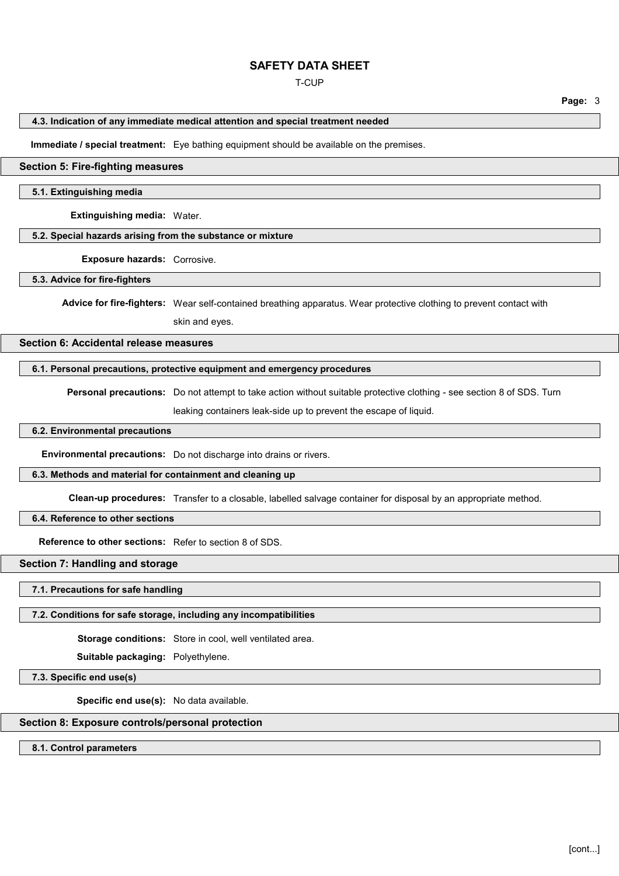### T-CUP

**Page:** 3

### **4.3. Indication of any immediate medical attention and special treatment needed**

**Immediate / special treatment:** Eye bathing equipment should be available on the premises.

### **Section 5: Fire-fighting measures**

#### **5.1. Extinguishing media**

**Extinguishing media:** Water.

### **5.2. Special hazards arising from the substance or mixture**

**Exposure hazards:** Corrosive.

### **5.3. Advice for fire-fighters**

**Advice for fire-fighters:** Wear self-contained breathing apparatus. Wear protective clothing to prevent contact with

skin and eyes.

### **Section 6: Accidental release measures**

## **6.1. Personal precautions, protective equipment and emergency procedures**

**Personal precautions:** Do not attempt to take action without suitable protective clothing - see section 8 of SDS. Turn

leaking containers leak-side up to prevent the escape of liquid.

### **6.2. Environmental precautions**

**Environmental precautions:** Do not discharge into drains or rivers.

#### **6.3. Methods and material for containment and cleaning up**

**Clean-up procedures:** Transfer to a closable, labelled salvage container for disposal by an appropriate method.

## **6.4. Reference to other sections**

**Reference to other sections:** Refer to section 8 of SDS.

### **Section 7: Handling and storage**

#### **7.1. Precautions for safe handling**

#### **7.2. Conditions for safe storage, including any incompatibilities**

**Storage conditions:** Store in cool, well ventilated area.

**Suitable packaging:** Polyethylene.

**7.3. Specific end use(s)**

**Specific end use(s):** No data available.

## **Section 8: Exposure controls/personal protection**

**8.1. Control parameters**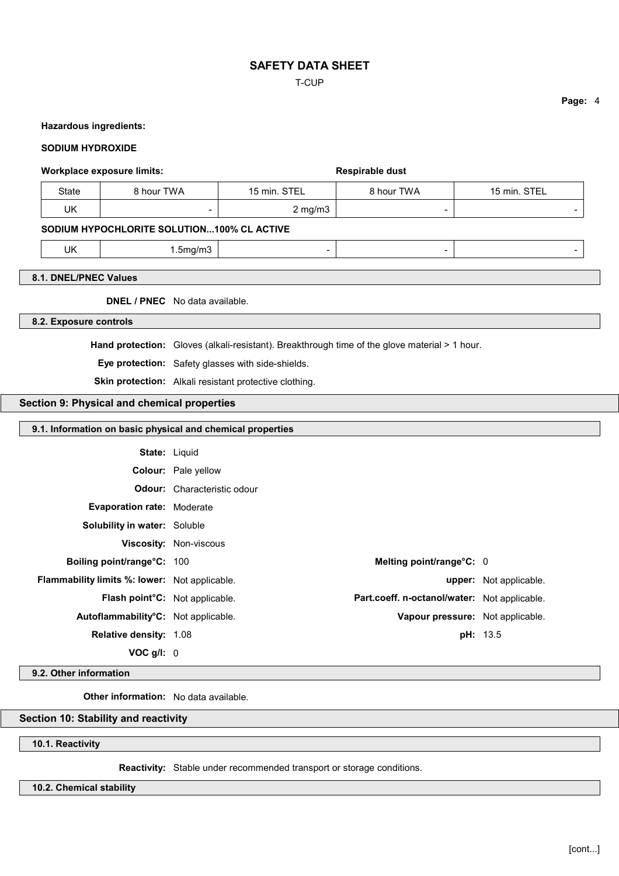### T-CUP

### **Hazardous ingredients:**

### **SODIUM HYDROXIDE**

### **Workplace exposure limits: Respirable dust Respirable dust**

| State | } hour TWA | 15 min. STEL | <b>8 hour TWA</b>        | 15 min. STEL             |
|-------|------------|--------------|--------------------------|--------------------------|
| UK    |            | $2$ mg/m $3$ | $\overline{\phantom{a}}$ | $\overline{\phantom{0}}$ |

## **SODIUM HYPOCHLORITE SOLUTION...100% CL ACTIVE**

UK 1.5mg/m3 - - -

### **8.1. DNEL/PNEC Values**

**DNEL / PNEC** No data available.

### **8.2. Exposure controls**

**Hand protection:** Gloves (alkali-resistant). Breakthrough time of the glove material > 1 hour.

**Eye protection:** Safety glasses with side-shields.

**Skin protection:** Alkali resistant protective clothing.

## **Section 9: Physical and chemical properties**

### **9.1. Information on basic physical and chemical properties**

| <b>State: Liquid</b>                                 |                                              |                        |
|------------------------------------------------------|----------------------------------------------|------------------------|
|                                                      | <b>Colour:</b> Pale yellow                   |                        |
|                                                      | <b>Odour:</b> Characteristic odour           |                        |
| <b>Evaporation rate: Moderate</b>                    |                                              |                        |
| <b>Solubility in water: Soluble</b>                  |                                              |                        |
|                                                      | <b>Viscosity: Non-viscous</b>                |                        |
| Boiling point/range°C: 100                           | Melting point/range°C: 0                     |                        |
| <b>Flammability limits %: lower:</b> Not applicable. |                                              | upper: Not applicable. |
| Flash point°C: Not applicable.                       | Part.coeff. n-octanol/water: Not applicable. |                        |
| Autoflammability°C: Not applicable.                  | Vapour pressure: Not applicable.             |                        |
| <b>Relative density: 1.08</b>                        |                                              | <b>pH: 13.5</b>        |
| VOC $q/l$ : 0                                        |                                              |                        |

**9.2. Other information**

**Other information:** No data available.

## **Section 10: Stability and reactivity**

**10.1. Reactivity**

**Reactivity:** Stable under recommended transport or storage conditions.

### **10.2. Chemical stability**

**Page:** 4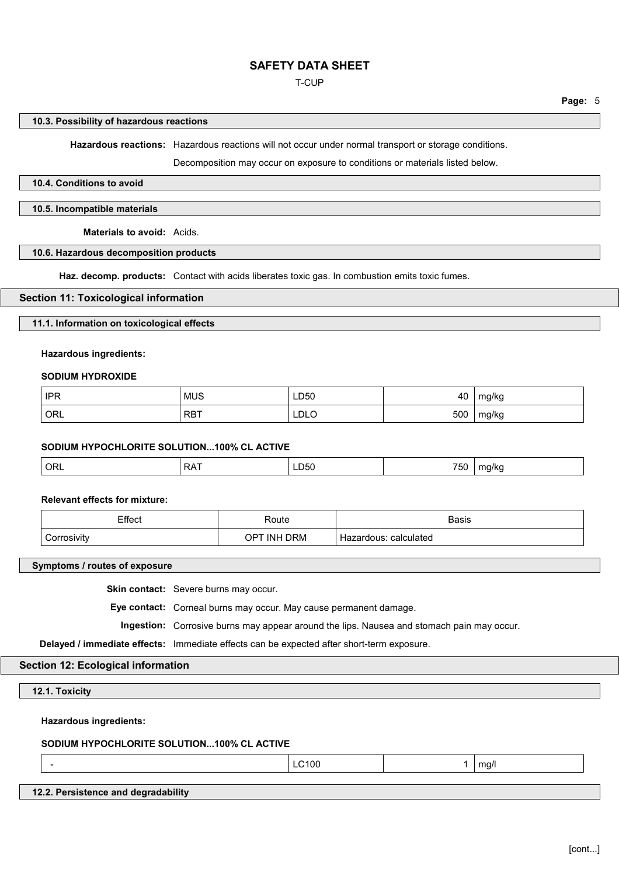### T-CUP

**Page:** 5

### **10.3. Possibility of hazardous reactions**

**Hazardous reactions:** Hazardous reactions will not occur under normal transport or storage conditions.

Decomposition may occur on exposure to conditions or materials listed below.

## **10.4. Conditions to avoid**

### **10.5. Incompatible materials**

**Materials to avoid:** Acids.

## **10.6. Hazardous decomposition products**

**Haz. decomp. products:** Contact with acids liberates toxic gas. In combustion emits toxic fumes.

#### **Section 11: Toxicological information**

### **11.1. Information on toxicological effects**

### **Hazardous ingredients:**

#### **SODIUM HYDROXIDE**

| <b>IPR</b> | <b>MUS</b> | LD50        | 40  | mg/kg |
|------------|------------|-------------|-----|-------|
| ORL        | <b>RBT</b> | <b>LDLO</b> | 500 | mg/kg |

#### **SODIUM HYPOCHLORITE SOLUTION...100% CL ACTIVE**

|  | ORL<br>. .<br>↘ | ∟ບວ∪<br>$- - -$ | ---<br>'5เ<br>$\cdot$ $\cdot$ $\cdot$ | $^{\prime}$ N ( |
|--|-----------------|-----------------|---------------------------------------|-----------------|
|--|-----------------|-----------------|---------------------------------------|-----------------|

### **Relevant effects for mixture:**

| Effect      | Route       | <b>Basis</b>             |
|-------------|-------------|--------------------------|
| Corrosivity | OPT INH DRM | calculated<br>Hazardous: |

**Symptoms / routes of exposure**

**Skin contact:** Severe burns may occur.

**Eye contact:** Corneal burns may occur. May cause permanent damage.

**Ingestion:** Corrosive burns may appear around the lips. Nausea and stomach pain may occur.

**Delayed / immediate effects:** Immediate effects can be expected after short-term exposure.

### **Section 12: Ecological information**

**12.1. Toxicity**

## **Hazardous ingredients:**

## **SODIUM HYPOCHLORITE SOLUTION...100% CL ACTIVE**

- LC100 1 mg/l

## **12.2. Persistence and degradability**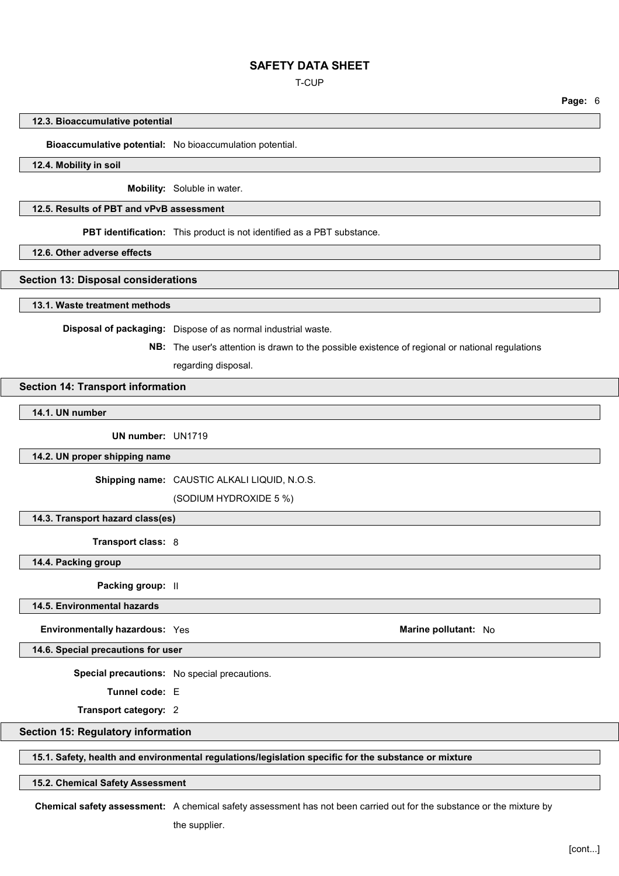T-CUP

**Page:** 6

#### **12.3. Bioaccumulative potential**

### **Bioaccumulative potential:** No bioaccumulation potential.

### **12.4. Mobility in soil**

**Mobility:** Soluble in water.

## **12.5. Results of PBT and vPvB assessment**

**PBT identification:** This product is not identified as a PBT substance.

**12.6. Other adverse effects**

### **Section 13: Disposal considerations**

**13.1. Waste treatment methods**

**Disposal of packaging:** Dispose of as normal industrial waste.

**NB:** The user's attention is drawn to the possible existence of regional or national regulations

regarding disposal.

### **Section 14: Transport information**

**14.1. UN number**

**UN number:** UN1719

**14.2. UN proper shipping name**

**Shipping name:** CAUSTIC ALKALI LIQUID, N.O.S.

(SODIUM HYDROXIDE 5 %)

## **14.3. Transport hazard class(es)**

**Transport class:** 8

**14.4. Packing group**

**Packing group:** II

## **14.5. Environmental hazards**

**Environmentally hazardous:** Yes **Marine pollutant:** No

**14.6. Special precautions for user**

**Special precautions:** No special precautions.

**Tunnel code:** E

**Transport category:** 2

### **Section 15: Regulatory information**

### **15.1. Safety, health and environmental regulations/legislation specific for the substance or mixture**

**15.2. Chemical Safety Assessment**

**Chemical safety assessment:** A chemical safety assessment has not been carried out for the substance or the mixture by